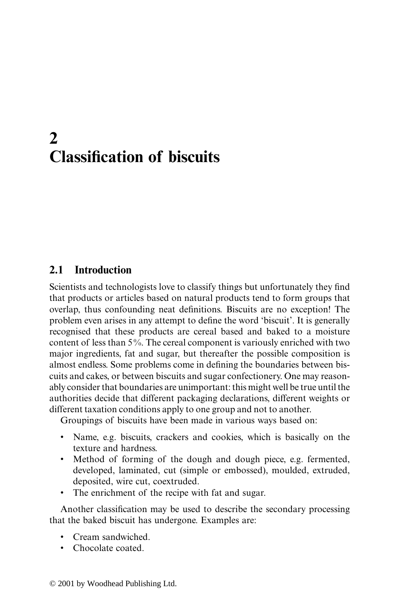# <span id="page-0-0"></span>**2 Classification of biscuits**

## **2.1 Introduction**

Scientists and technologists love to classify things but unfortunately they find that products or articles based on natural products tend to form groups that overlap, thus confounding neat definitions. Biscuits are no exception! The problem even arises in any attempt to define the word 'biscuit'. It is generally recognised that these products are cereal based and baked to a moisture content of less than  $5\%$ . The cereal component is variously enriched with two major ingredients, fat and sugar, but thereafter the possible composition is almost endless. Some problems come in defining the boundaries between biscuits and cakes, or between biscuits and sugar confectionery. One may reasonably consider that boundaries are unimportant: this might well be true until the authorities decide that different packaging declarations, different weights or different taxation conditions apply to one group and not to another.

Groupings of biscuits have been made in various ways based on:

- Name, e.g. biscuits, crackers and cookies, which is basically on the texture and hardness.
- Method of forming of the dough and dough piece, e.g. fermented, developed, laminated, cut (simple or embossed), moulded, extruded, deposited, wire cut, coextruded.
- The enrichment of the recipe with fat and sugar.

Another classification may be used to describe the secondary processing that the baked biscuit has undergone. Examples are:

- Cream sandwiched.
- Chocolate coated.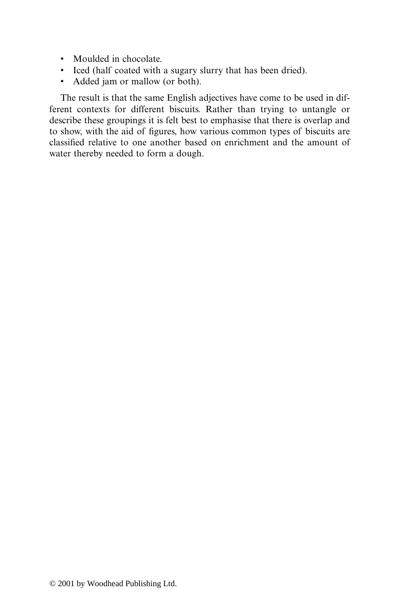- Moulded in chocolate.
- Iced (half coated with a sugary slurry that has been dried).
- Added jam or mallow (or both).

The result is that the same English adjectives have come to be used in different contexts for different biscuits. Rather than trying to untangle or describe these groupings it is felt best to emphasise that there is overlap and to show, with the aid of figures, how various common types of biscuits are classified relative to one another based on enrichment and the amount of water thereby needed to form a dough.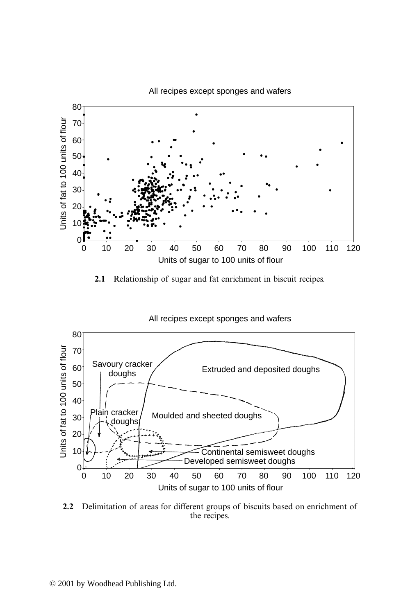<span id="page-2-0"></span>

**2.1** Relationship of sugar and fat enrichment in biscuit recipes.



**2.2** Delimitation of areas for different groups of biscuits based on enrichment of the recipes.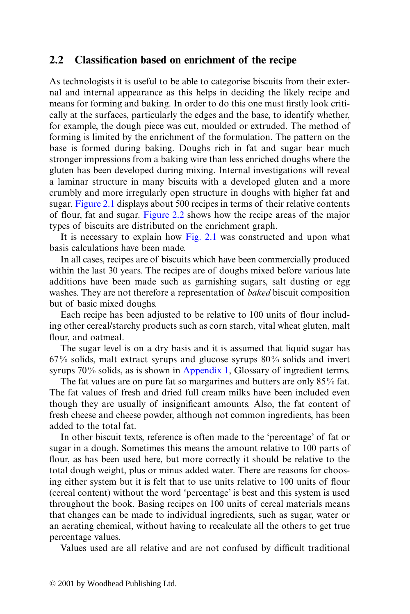### **2.2 Classification based on enrichment of the recipe**

As technologists it is useful to be able to categorise biscuits from their external and internal appearance as this helps in deciding the likely recipe and means for forming and baking. In order to do this one must firstly look critically at the surfaces, particularly the edges and the base, to identify whether, for example, the dough piece was cut, moulded or extruded. The method of forming is limited by the enrichment of the formulation. The pattern on the base is formed during baking. Doughs rich in fat and sugar bear much stronger impressions from a baking wire than less enriched doughs where the gluten has been developed during mixing. Internal investigations will reveal a laminar structure in many biscuits with a developed gluten and a more crumbly and more irregularly open structure in doughs with higher fat and sugar. [Figure](#page-2-0) 2.1 displays about 500 recipes in terms of their relative contents of flour, fat and sugar. [Figure](#page-2-0) 2.2 shows how the recipe areas of the major types of biscuits are distributed on the enrichment graph.

It is necessary to explain how [Fig.](#page-2-0) 2.1 was constructed and upon what basis calculations have been made.

In all cases, recipes are of biscuits which have been commercially produced within the last 30 years. The recipes are of doughs mixed before various late additions have been made such as garnishing sugars, salt dusting or egg washes. They are not therefore a representation of *baked* biscuit composition but of basic mixed doughs.

Each recipe has been adjusted to be relative to 100 units of flour including other cereal/starchy products such as corn starch, vital wheat gluten, malt flour, and oatmeal.

The sugar level is on a dry basis and it is assumed that liquid sugar has  $67\%$  solids, malt extract syrups and glucose syrups  $80\%$  solids and invert syrups 70% solids, as is shown in [Appendix](#page-0-0) 1, Glossary of ingredient terms.

The fat values are on pure fat so margarines and butters are only 85% fat. The fat values of fresh and dried full cream milks have been included even though they are usually of insignificant amounts. Also, the fat content of fresh cheese and cheese powder, although not common ingredients, has been added to the total fat.

In other biscuit texts, reference is often made to the 'percentage'of fat or sugar in a dough. Sometimes this means the amount relative to 100 parts of flour, as has been used here, but more correctly it should be relative to the total dough weight, plus or minus added water. There are reasons for choosing either system but it is felt that to use units relative to 100 units of flour (cereal content) without the word 'percentage'is best and this system is used throughout the book. Basing recipes on 100 units of cereal materials means that changes can be made to individual ingredients, such as sugar, water or an aerating chemical, without having to recalculate all the others to get true percentage values.

Values used are all relative and are not confused by difficult traditional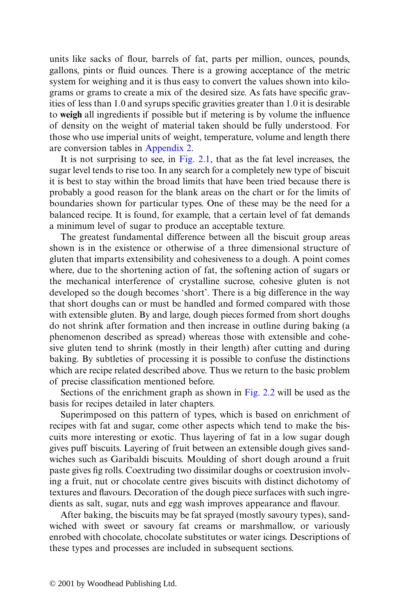units like sacks of flour, barrels of fat, parts per million, ounces, pounds, gallons, pints or fluid ounces. There is a growing acceptance of the metric system for weighing and it is thus easy to convert the values shown into kilograms or grams to create a mix of the desired size. As fats have specific gravities of less than 1.0 and syrups specific gravities greater than 1.0 it is desirable to **weigh** all ingredients if possible but if metering is by volume the influence of density on the weight of material taken should be fully understood. For those who use imperial units of weight, temperature, volume and length there are conversion tables in [Appendix](#page-0-0) 2.

It is not surprising to see, in [Fig.](#page-2-0) 2.1, that as the fat level increases, the sugar level tends to rise too. In any search for a completely new type of biscuit it is best to stay within the broad limits that have been tried because there is probably a good reason for the blank areas on the chart or for the limits of boundaries shown for particular types. One of these may be the need for a balanced recipe. It is found, for example, that a certain level of fat demands a minimum level of sugar to produce an acceptable texture.

The greatest fundamental difference between all the biscuit group areas shown is in the existence or otherwise of a three dimensional structure of gluten that imparts extensibility and cohesiveness to a dough. A point comes where, due to the shortening action of fat, the softening action of sugars or the mechanical interference of crystalline sucrose, cohesive gluten is not developed so the dough becomes 'short'. There is a big difference in the way that short doughs can or must be handled and formed compared with those with extensible gluten. By and large, dough pieces formed from short doughs do not shrink after formation and then increase in outline during baking (a phenomenon described as spread) whereas those with extensible and cohesive gluten tend to shrink (mostly in their length) after cutting and during baking. By subtleties of processing it is possible to confuse the distinctions which are recipe related described above. Thus we return to the basic problem of precise classification mentioned before.

Sections of the enrichment graph as shown [in Fig. 2.2 w](#page-2-0)ill be used as the basis for recipes detailed in later chapters.

Superimposed on this pattern of types, which is based on enrichment of recipes with fat and sugar, come other aspects which tend to make the biscuits more interesting or exotic. Thus layering of fat in a low sugar dough gives puff biscuits. Layering of fruit between an extensible dough gives sandwiches such as Garibaldi biscuits. Moulding of short dough around a fruit paste gives fig rolls. Coextruding two dissimilar doughs or coextrusion involving a fruit, nut or chocolate centre gives biscuits with distinct dichotomy of textures and flavours. Decoration of the dough piece surfaces with such ingredients as salt, sugar, nuts and egg wash improves appearance and flavour.

After baking, the biscuits may be fat sprayed (mostly savoury types), sandwiched with sweet or savoury fat creams or marshmallow, or variously enrobed with chocolate, chocolate substitutes or water icings. Descriptions of these types and processes are included in subsequent sections.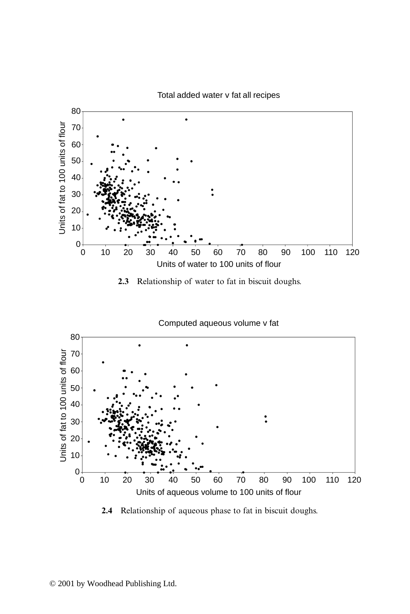<span id="page-5-0"></span>

**2.3** Relationship of water to fat in biscuit doughs.



**2.4** Relationship of aqueous phase to fat in biscuit doughs.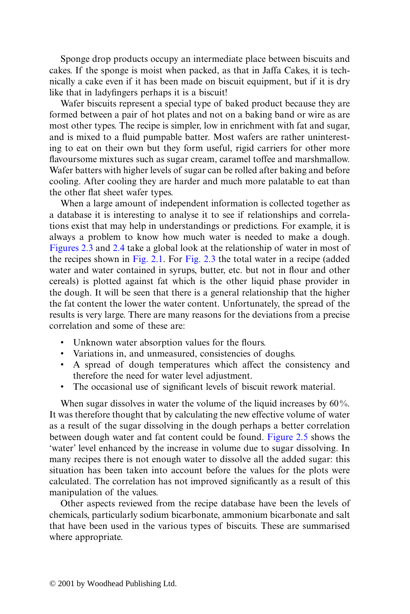Sponge drop products occupy an intermediate place between biscuits and cakes. If the sponge is moist when packed, as that in Jaffa Cakes, it is technically a cake even if it has been made on biscuit equipment, but if it is dry like that in ladyfingers perhaps it is a biscuit!

Wafer biscuits represent a special type of baked product because they are formed between a pair of hot plates and not on a baking band or wire as are most other types. The recipe is simpler, low in enrichment with fat and sugar, and is mixed to a fluid pumpable batter. Most wafers are rather uninteresting to eat on their own but they form useful, rigid carriers for other more flavoursome mixtures such as sugar cream, caramel toffee and marshmallow. Wafer batters with higher levels of sugar can be rolled after baking and before cooling. After cooling they are harder and much more palatable to eat than the other flat sheet wafer types.

When a large amount of independent information is collected together as a database it is interesting to analyse it to see if relationships and correlations exist that may help in understandings or predictions. For example, it is always a problem to know how much water is needed to make a dough. [Figures 2.3 and 2.4 t](#page-5-0)ake a global [look at the](#page-5-0) relationship of water in most of the recipes shown in [Fig.](#page-2-0) 2.1. For Fig. 2.3 the total water in a recipe (added water and water contained in syrups, butter, etc. but not in flour and other cereals) is plotted against fat which is the other liquid phase provider in the dough. It will be seen that there is a general relationship that the higher the fat content the lower the water content. Unfortunately, the spread of the results is very large. There are many reasons for the deviations from a precise correlation and some of these are:

- Unknown water absorption values for the flours.
- Variations in, and unmeasured, consistencies of doughs.
- A spread of dough temperatures which affect the consistency and therefore the need for water level adjustment.
- The occasional use of significant levels of biscuit rework material.

When sugar dissolves in water the volume of the liquid increases by  $60\%$ . It was therefore thought that by calculating the new effective volume of water as a result of the sugar dissolving in the dough perhaps a better correlation between dough water and fat content could be found. Figure 2.5 shows the 'water' level enhanced by the increase in volume due to sugar dissolving. In many recipes there is not enough water to dissolve all the added sugar: this situation has been taken into account before the values for the plots were calculated. The correlation has not improved significantly as a result of this manipulation of the values.

Other aspects reviewed from the recipe database have been the levels of chemicals, particularly sodium bicarbonate, ammonium bicarbonate and salt that have been used in the various types of biscuits. These are summarised where appropriate.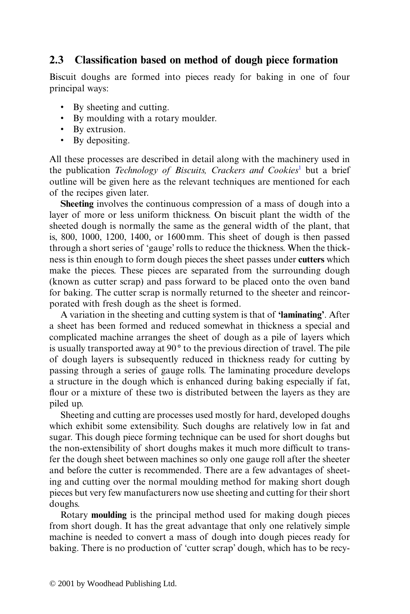## **2.3 Classification based on method of dough piece formation**

Biscuit doughs are formed into pieces ready for baking in one of four principal ways:

- By sheeting and cutting.
- By moulding with a rotary moulder.
- By extrusion.
- By depositing.

All these processes are described in detail along with the ma[chine](#page-8-0)ry used in the publication *Technology of Biscuits, Crackers and Cookies*<sup>1</sup> but a brief outline will be given here as the relevant techniques are mentioned for each of the recipes given later.

**Sheeting** involves the continuous compression of a mass of dough into a layer of more or less uniform thickness. On biscuit plant the width of the sheeted dough is normally the same as the general width of the plant, that is, 800, 1000, 1200, 1400, or 1600 mm. This sheet of dough is then passed through a short series of 'gauge'rolls to reduce the thickness. When the thickness is thin enough to form dough pieces the sheet passes under **cutters** which make the pieces. These pieces are separated from the surrounding dough (known as cutter scrap) and pass forward to be placed onto the oven band for baking. The cutter scrap is normally returned to the sheeter and reincorporated with fresh dough as the sheet is formed.

A variation in the sheeting and cutting system is that of **'laminating'**. After a sheet has been formed and reduced somewhat in thickness a special and complicated machine arranges the sheet of dough as a pile of layers which is usually transported away at 90° to the previous direction of travel. The pile of dough layers is subsequently reduced in thickness ready for cutting by passing through a series of gauge rolls. The laminating procedure develops a structure in the dough which is enhanced during baking especially if fat, flour or a mixture of these two is distributed between the layers as they are piled up.

Sheeting and cutting are processes used mostly for hard, developed doughs which exhibit some extensibility. Such doughs are relatively low in fat and sugar. This dough piece forming technique can be used for short doughs but the non-extensibility of short doughs makes it much more difficult to transfer the dough sheet between machines so only one gauge roll after the sheeter and before the cutter is recommended. There are a few advantages of sheeting and cutting over the normal moulding method for making short dough pieces but very few manufacturers now use sheeting and cutting for their short doughs.

Rotary **moulding** is the principal method used for making dough pieces from short dough. It has the great advantage that only one relatively simple machine is needed to convert a mass of dough into dough pieces ready for baking. There is no production of 'cutter scrap'dough, which has to be recy